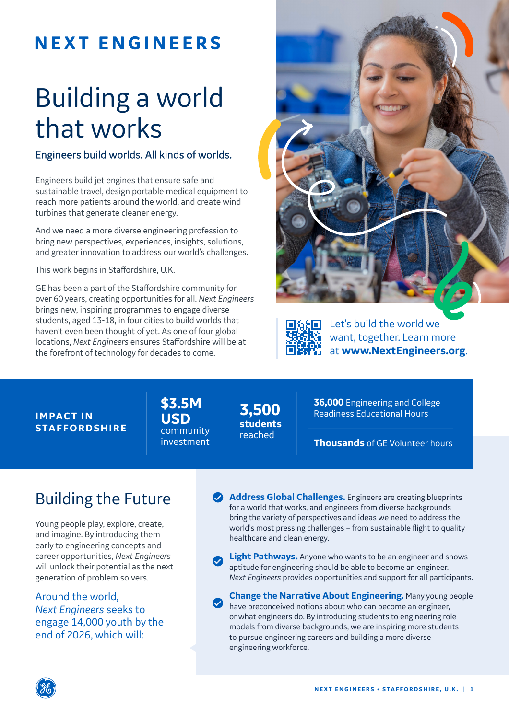# **NEXT ENGINEERS**

# Building a world that works

### Engineers build worlds. All kinds of worlds.

Engineers build jet engines that ensure safe and sustainable travel, design portable medical equipment to reach more patients around the world, and create wind turbines that generate cleaner energy.

And we need a more diverse engineering profession to bring new perspectives, experiences, insights, solutions, and greater innovation to address our world's challenges.

This work begins in Staffordshire, U.K.

GE has been a part of the Staffordshire community for over 60 years, creating opportunities for all. *Next Engineers*  brings new, inspiring programmes to engage diverse students, aged 13-18, in four cities to build worlds that haven't even been thought of yet. As one of four global locations, *Next Engineers* ensures Staffordshire will be at the forefront of technology for decades to come.





Let's build the world we want, together. Learn more at **www.NextEngineers.org**.

#### **IMPACT IN STAFFORDSHIRE**

**\$3.5M USD** community investment

**3,500 students**  reached

**36,000** Engineering and College Readiness Educational Hours

**Thousands** of GE Volunteer hours

# Building the Future

Young people play, explore, create, and imagine. By introducing them early to engineering concepts and career opportunities, *Next Engineers* will unlock their potential as the next generation of problem solvers.

Around the world, *Next Engineers* seeks to engage 14,000 youth by the end of 2026, which will:

**Address Global Challenges.** Engineers are creating blueprints for a world that works, and engineers from diverse backgrounds bring the variety of perspectives and ideas we need to address the world's most pressing challenges – from sustainable flight to quality healthcare and clean energy.

**C** Light Pathways. Anyone who wants to be an engineer and shows aptitude for engineering should be able to become an engineer. *Next Engineers* provides opportunities and support for all participants.

**Change the Narrative About Engineering.** Many young people have preconceived notions about who can become an engineer, or what engineers do. By introducing students to engineering role models from diverse backgrounds, we are inspiring more students to pursue engineering careers and building a more diverse engineering workforce.